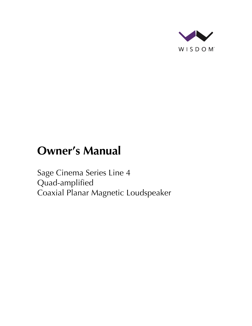

# **Owner's Manual**

Sage Cinema Series Line 4 Quad-amplified Coaxial Planar Magnetic Loudspeaker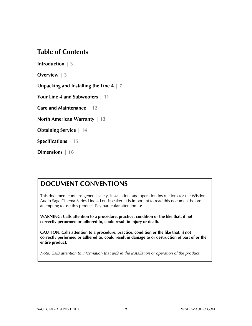### **Table of Contents**

**Introduction | 3**

**Overview | 3**

**Unpacking and Installing the Line 4 | 7**

**Your Line 4 and Subwoofers | 11**

**Care and Maintenance | 12**

**North American Warranty | 13**

**Obtaining Service | 14**

**Specifications | 15**

**Dimensions | 16**

### **DOCUMENT CONVENTIONS**

This document contains general safety, installation, and operation instructions for the Wisdom Audio Sage Cinema Series Line 4 Loudspeaker. It is important to read this document before attempting to use this product. Pay particular attention to:

**WARNING: Calls attention to a procedure, practice, condition or the like that, if not correctly performed or adhered to, could result in injury or death.** 

**CAUTION: Calls attention to a procedure, practice, condition or the like that, if not correctly performed or adhered to, could result in damage to or destruction of part of or the entire product.** 

*Note: Calls attention to information that aids in the installation or operation of the product.*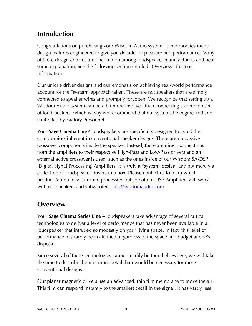# **Introduction**

Congratulations on purchasing your Wisdom Audio system. It incorporates many design features engineered to give you decades of pleasure and performance. Many of these design choices are uncommon among loudspeaker manufacturers and bear some explanation. See the following section entitled "Overview" for more information.

Our unique driver designs and our emphasis on achieving real-world performance account for the "system" approach taken. These are not speakers that are simply connected to speaker wires and promptly forgotten. We recognize that setting up a Wisdom Audio system can be a bit more involved than connecting a common set of loudspeakers, which is why we recommend that our systems be engineered and calibrated by Factory Personnel.

Your **Sage Cinema Line 4** loudspeakers are specifically designed to avoid the compromises inherent in conventional speaker designs. There are no passive crossover components inside the speaker. Instead, there are direct connections from the amplifiers to their respective High-Pass and Low-Pass drivers and an external active crossover is used, such as the ones inside of our Wisdom SA-DSP (Digital Signal Processing) Amplifiers. It is truly a "system" design, and not merely a collection of loudspeaker drivers in a box. Please contact us to learn which products/amplifiers/ surround processors outside of our DSP Amplifiers will work with our speakers and subwoofers. **Info@wisdomaudio.com** 

# **Overview**

Your **Sage Cinema Series Line 4** loudspeakers take advantage of several critical technologies to deliver a level of performance that has never been available in a loudspeaker that intruded so modestly on your living space. In fact, this level of performance has rarely been attained, regardless of the space and budget at one's disposal.

Since several of these technologies cannot readily be found elsewhere, we will take the time to describe them in more detail than would be necessary for more conventional designs.

Our planar magnetic drivers use an advanced, thin film membrane to move the air. This film can respond instantly to the smallest detail in the signal. It has vastly less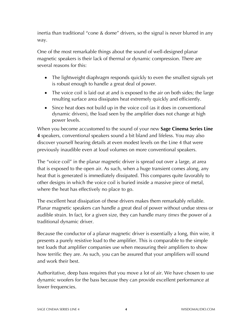inertia than traditional "cone & dome" drivers, so the signal is never blurred in any way.

One of the most remarkable things about the sound of well-designed planar magnetic speakers is their lack of thermal or dynamic compression. There are several reasons for this:

- The lightweight diaphragm responds quickly to even the smallest signals yet is robust enough to handle a great deal of power.
- The voice coil is laid out at and is exposed to the air on both sides; the large resulting surface area dissipates heat extremely quickly and efficiently.
- Since heat does not build up in the voice coil (as it does in conventional dynamic drivers), the load seen by the amplifier does not change at high power levels.

When you become accustomed to the sound of your new **Sage Cinema Series Line 4** speakers, conventional speakers sound a bit bland and lifeless. You may also discover yourself hearing details at even modest levels on the Line 4 that were previously inaudible even at loud volumes on more conventional speakers.

The "voice coil" in the planar magnetic driver is spread out over a large, at area that is exposed to the open air. As such, when a huge transient comes along, any heat that is generated is immediately dissipated. This compares quite favorably to other designs in which the voice coil is buried inside a massive piece of metal, where the heat has effectively no place to go.

The excellent heat dissipation of these drivers makes them remarkably reliable. Planar magnetic speakers can handle a great deal of power without undue stress or audible strain. In fact, for a given size, they can handle *many times* the power of a traditional dynamic driver.

Because the conductor of a planar magnetic driver is essentially a long, thin wire, it presents a purely resistive load to the amplifier. This is comparable to the simple test loads that amplifier companies use when measuring their amplifiers to show how terrific they are. As such, you can be assured that your amplifiers will sound and work their best.

Authoritative, deep bass requires that you move a lot of air. We have chosen to use dynamic woofers for the bass because they can provide excellent performance at lower frequencies.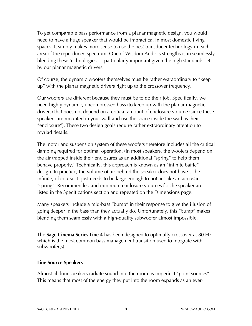To get comparable bass performance from a planar magnetic design, you would need to have a huge speaker that would be impractical in most domestic living spaces. It simply makes more sense to use the best transducer technology in each area of the reproduced spectrum. One of Wisdom Audio's strengths is in seamlessly blending these technologies — particularly important given the high standards set by our planar magnetic drivers.

Of course, the dynamic woofers themselves must be rather extraordinary to "keep up" with the planar magnetic drivers right up to the crossover frequency.

Our woofers are different because they must be to do their job. Specifically, we need highly dynamic, uncompressed bass (to keep up with the planar magnetic drivers) that does not depend on a critical amount of enclosure volume (since these speakers are mounted in your wall and use the space inside the wall as their "enclosure"). These two design goals require rather extraordinary attention to myriad details.

The motor and suspension system of these woofers therefore includes all the critical damping required for optimal operation. (In most speakers, the woofers depend on the air trapped inside their enclosures as an additional "spring" to help them behave properly.) Technically, this approach is known as an "infinite baffle" design. In practice, the volume of air behind the speaker does not have to be infinite, of course. It just needs to be large enough to not act like an acoustic "spring". Recommended and minimum enclosure volumes for the speaker are listed in the Specifications section and repeated on the Dimensions page.

Many speakers include a mid-bass "bump" in their response to give the illusion of going deeper in the bass than they actually do. Unfortunately, this "bump" makes blending them seamlessly with a high-quality subwoofer almost impossible.

The **Sage Cinema Series Line 4** has been designed to optimally crossover at 80 Hz which is the most common bass management transition used to integrate with subwoofer(s).

### **Line Source Speakers**

Almost all loudspeakers radiate sound into the room as imperfect "point sources". This means that most of the energy they put into the room expands as an ever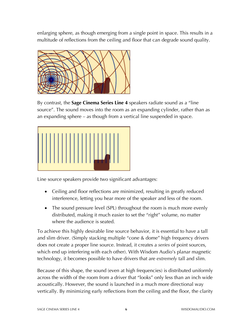enlarging sphere, as though emerging from a single point in space. This results in a multitude of reflections from the ceiling and floor that can degrade sound quality.



By contrast, the **Sage Cinema Series Line 4** speakers radiate sound as a "line source". The sound moves into the room as an expanding cylinder, rather than as an expanding sphere – as though from a vertical line suspended in space.



Line source speakers provide two significant advantages:

- Ceiling and floor reflections are minimized, resulting in greatly reduced interference, letting you hear more of the speaker and less of the room.
- The sound pressure level (SPL) throughout the room is much more evenly distributed, making it much easier to set the "right" volume, no matter where the audience is seated.

To achieve this highly desirable line source behavior, it is essential to have a tall and slim driver. (Simply stacking multiple "cone & dome" high frequency drivers does not create a proper line source. Instead, it creates a *series* of point sources, which end up interfering with each other). With Wisdom Audio's planar magnetic technology, it becomes possible to have drivers that are *extremely* tall and slim.

Because of this shape, the sound (even at high frequencies) is distributed uniformly across the width of the room from a driver that "looks" only less than an inch wide acoustically. However, the sound is launched in a much more directional way vertically. By minimizing early reflections from the ceiling and the floor, the clarity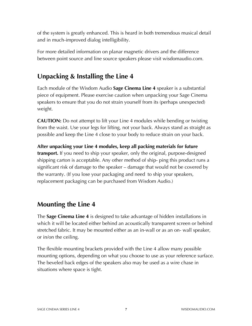of the system is greatly enhanced. This is heard in both tremendous musical detail and in much-improved dialog intelligibility.

For more detailed information on planar magnetic drivers and the difference between point source and line source speakers please visit wisdomaudio.com.

# **Unpacking & Installing the Line 4**

Each module of the Wisdom Audio **Sage Cinema Line 4** speaker is a substantial piece of equipment. Please exercise caution when unpacking your Sage Cinema speakers to ensure that you do not strain yourself from its (perhaps unexpected) weight.

**CAUTION:** Do not attempt to lift your Line 4 modules while bending or twisting from the waist. Use your legs for lifting, not your back. Always stand as straight as possible and keep the Line 4 close to your body to reduce strain on your back.

**After unpacking your Line 4 modules, keep all packing materials for future transport.** If you need to ship your speaker, only the original, purpose-designed shipping carton is acceptable. Any other method of ship- ping this product runs a significant risk of damage to the speaker – damage that would not be covered by the warranty. (If you lose your packaging and need to ship your speakers, replacement packaging can be purchased from Wisdom Audio.)

# **Mounting the Line 4**

The **Sage Cinema Line 4** is designed to take advantage of hidden installations in which it will be located either behind an acoustically transparent screen or behind stretched fabric. It may be mounted either as an in-wall or as an on- wall speaker, or in/on the ceiling.

The flexible mounting brackets provided with the Line 4 allow many possible mounting options, depending on what you choose to use as your reference surface. The beveled back edges of the speakers also may be used as a wire chase in situations where space is tight.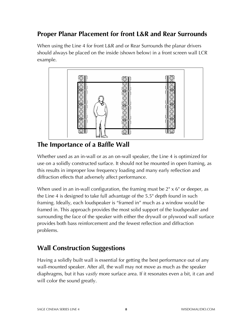# **Proper Planar Placement for front L&R and Rear Surrounds**

When using the Line 4 for front L&R and or Rear Surrounds the planar drivers should always be placed on the inside (shown below) in a front screen wall LCR example.



**The Importance of a Baffle Wall**

Whether used as an in-wall or as an on-wall speaker, the Line 4 is optimized for use on a solidly constructed surface. It should not be mounted in open framing, as this results in improper low frequency loading and many early reflection and diffraction effects that adversely affect performance.

When used in an in-wall configuration, the framing must be 2<sup>"</sup> x 6" or deeper, as the Line 4 is designed to take full advantage of the 5.5" depth found in such framing. Ideally, each loudspeaker is "framed in" much as a window would be framed in. This approach provides the most solid support of the loudspeaker and surrounding the face of the speaker with either the drywall or plywood wall surface provides both bass reinforcement and the fewest reflection and diffraction problems.

# **Wall Construction Suggestions**

Having a solidly built wall is essential for getting the best performance out of any wall-mounted speaker. After all, the wall may not move as much as the speaker diaphragms, but it has *vastly* more surface area. If it resonates even a bit, it can and will color the sound greatly.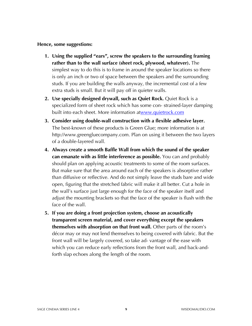#### **Hence, some suggestions:**

- **1. Using the supplied "ears", screw the speakers to the surrounding framing rather than to the wall surface (sheet rock, plywood, whatever).** The simplest way to do this is to frame in around the speaker locations so there is only an inch or two of space between the speakers and the surrounding studs. If you are building the walls anyway, the incremental cost of a few extra studs is small. But it will pay off in quieter walls.
- **2. Use specially designed drywall, such as Quiet Rock.** Quiet Rock is a specialized form of sheet rock which has some con- strained-layer damping built into each sheet. More information atwww.quietrock.com
- **3. Consider using double-wall construction with a flexible adhesive layer.** The best-known of these products is Green Glue; more information is at http://www.greengluecompany.com. Plan on using it between the two layers of a double-layered wall.
- **4. Always create a smooth Baffle Wall from which the sound of the speaker can emanate with as little interference as possible.** You can and probably should plan on applying acoustic treatments to some of the room surfaces. But make sure that the area around each of the speakers is absorptive rather than diffusive or reflective. And do not simply leave the studs bare and wide open, figuring that the stretched fabric will make it all better. Cut a hole in the wall's surface just large enough for the face of the speaker itself and adjust the mounting brackets so that the face of the speaker is flush with the face of the wall.
- **5. If you are doing a front projection system, choose an acoustically transparent screen material, and cover everything except the speakers themselves with absorption on that front wall.** Other parts of the room's décor may or may not lend themselves to being covered with fabric. But the front wall will be largely covered, so take ad- vantage of the ease with which you can reduce early reflections from the front wall, and back-andforth slap echoes along the length of the room.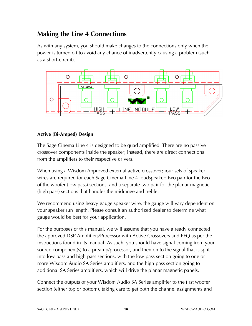# **Making the Line 4 Connections**

As with any system, you should make changes to the connections only when the power is turned off to avoid any chance of inadvertently causing a problem (such as a short-circuit).



### **Active (Bi-Amped) Design**

The Sage Cinema Line 4 is designed to be quad amplified. There are no passive crossover components inside the speaker; instead, there are direct connections from the amplifiers to their respective drivers.

When using a Wisdom Approved external active crossover; four sets of speaker wires are required for each Sage Cinema Line 4 loudspeaker: two pair for the two of the woofer (low pass) sections, and a separate two pair for the planar magnetic (high pass) sections that handles the midrange and treble.

We recommend using heavy-gauge speaker wire, the gauge will vary dependent on your speaker run length. Please consult an authorized dealer to determine what gauge would be best for your application.

For the purposes of this manual, we will assume that you have already connected the approved DSP Amplifiers/Processor with Active Crossovers and PEQ as per the instructions found in its manual. As such, you should have signal coming from your source component(s) to a preamp/processor, and then on to the signal that is split into low-pass and high-pass sections, with the low-pass section going to one or more Wisdom Audio SA Series amplifiers, and the high-pass section going to additional SA Series amplifiers, which will drive the planar magnetic panels.

Connect the outputs of your Wisdom Audio SA Series amplifier to the first woofer section (either top or bottom), taking care to get both the channel assignments and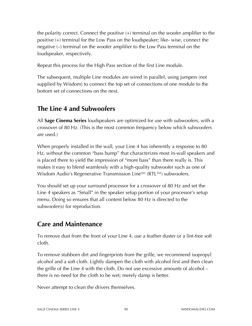the polarity correct. Connect the positive (+) terminal on the woofer amplifier to the positive (+) terminal for the Low Pass on the loudspeaker; like- wise, connect the negative (–) terminal on the woofer amplifier to the Low Pass terminal on the loudspeaker, respectively.

Repeat this process for the High Pass section of the first Line module.

The subsequent, multiple Line modules are wired in parallel, using jumpers (not supplied by Wisdom) to connect the top set of connections of one module to the bottom set of connections on the next.

# **The Line 4 and Subwoofers**

All **Sage Cinema Series** loudspeakers are optimized for use with subwoofers, with a crossover of 80 Hz. (This is the most common frequency below which subwoofers are used.)

When properly installed in the wall, your Line 4 has inherently a response to 80 Hz, without the common "bass bump" that characterizes most in-wall speakers and is placed there to yield the impression of "more bass" than there really is. This makes it easy to blend seamlessly with a high-quality subwoofer such as one of Wisdom Audio's Regenerative Transmission Line™ (RTL™) subwoofers.

You should set up your surround processor for a crossover of 80 Hz and set the Line 4 speakers as "Small" in the speaker setup portion of your processor's setup menu. Doing so ensures that all content below 80 Hz is directed to the subwoofer(s) for reproduction.

# **Care and Maintenance**

To remove dust from the front of your Line 4, use a feather duster or a lint-free soft cloth.

To remove stubborn dirt and fingerprints from the grille, we recommend isopropyl alcohol and a soft cloth. Lightly dampen the cloth with alcohol first and then clean the grille of the Line 4 with the cloth. Do not use excessive amounts of alcohol – there is no need for the cloth to be wet; merely damp is better.

Never attempt to clean the drivers themselves.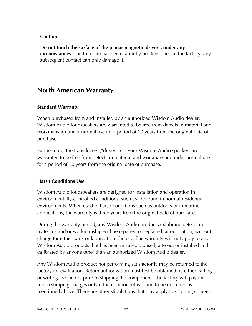### **Caution!**

**Do not touch the surface of the planar magnetic drivers, under any circumstances**. The thin film has been carefully pre-tensioned at the factory; any subsequent contact can only damage it.

### **North American Warranty**

### **Standard Warranty**

When purchased from and installed by an authorized Wisdom Audio dealer, Wisdom Audio loudspeakers are warranted to be free from defects in material and workmanship under normal use for a period of 10 years from the original date of purchase.

Furthermore, the transducers ("drivers") in your Wisdom Audio speakers are warranted to be free from defects in material and workmanship under normal use for a period of 10 years from the original date of purchase.

### **Harsh Conditions Use**

Wisdom Audio loudspeakers are designed for installation and operation in environmentally controlled conditions, such as are found in normal residential environments. When used in harsh conditions such as outdoors or in marine applications, the warranty is three years from the original date of purchase.

During the warranty period, any Wisdom Audio products exhibiting defects in materials and/or workmanship will be repaired or replaced, at our option, without charge for either parts or labor, at our factory. The warranty will not apply to any Wisdom Audio products that has been misused, abused, altered, or installed and calibrated by anyone other than an authorized Wisdom Audio dealer.

Any Wisdom Audio product not performing satisfactorily may be returned to the factory for evaluation. Return authorization must first be obtained by either calling or writing the factory prior to shipping the component. The factory will pay for return shipping charges only if the component is found to be defective as mentioned above. There are other stipulations that may apply to shipping charges.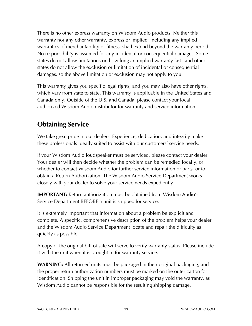There is no other express warranty on Wisdom Audio products. Neither this warranty nor any other warranty, express or implied, including any implied warranties of merchantability or fitness, shall extend beyond the warranty period. No responsibility is assumed for any incidental or consequential damages. Some states do not allow limitations on how long an implied warranty lasts and other states do not allow the exclusion or limitation of incidental or consequential damages, so the above limitation or exclusion may not apply to you.

This warranty gives you specific legal rights, and you may also have other rights, which vary from state to state. This warranty is applicable in the United States and Canada only. Outside of the U.S. and Canada, please contact your local, authorized Wisdom Audio distributor for warranty and service information.

# **Obtaining Service**

We take great pride in our dealers. Experience, dedication, and integrity make these professionals ideally suited to assist with our customers' service needs.

If your Wisdom Audio loudspeaker must be serviced, please contact your dealer. Your dealer will then decide whether the problem can be remedied locally, or whether to contact Wisdom Audio for further service information or parts, or to obtain a Return Authorization. The Wisdom Audio Service Department works closely with your dealer to solve your service needs expediently.

**IMPORTANT:** Return authorization must be obtained from Wisdom Audio's Service Department BEFORE a unit is shipped for service.

It is extremely important that information about a problem be explicit and complete. A specific, comprehensive description of the problem helps your dealer and the Wisdom Audio Service Department locate and repair the difficulty as quickly as possible.

A copy of the original bill of sale will serve to verify warranty status. Please include it with the unit when it is brought in for warranty service.

**WARNING:** All returned units must be packaged in their original packaging, and the proper return authorization numbers must be marked on the outer carton for identification. Shipping the unit in improper packaging may void the warranty, as Wisdom Audio cannot be responsible for the resulting shipping damage.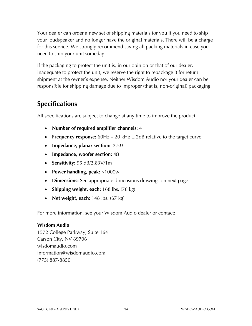Your dealer can order a new set of shipping materials for you if you need to ship your loudspeaker and no longer have the original materials. There will be a charge for this service. We strongly recommend saving all packing materials in case you need to ship your unit someday.

If the packaging to protect the unit is, in our opinion or that of our dealer, inadequate to protect the unit, we reserve the right to repackage it for return shipment at the owner's expense. Neither Wisdom Audio nor your dealer can be responsible for shipping damage due to improper (that is, non-original) packaging.

### **Specifications**

All specifications are subject to change at any time to improve the product.

- **Number of required amplifier channels:** 4
- **Frequency response:**  $60Hz 20kHz \pm 2dB$  relative to the target curve
- **Impedance, planar section:** 2.5Ω
- **Impedance, woofer section:** 4Ω
- **Sensitivity:** 95 dB/2.83V/1m
- **Power handling, peak:** >1000w
- **Dimensions:** See appropriate dimensions drawings on next page
- **Shipping weight, each:** 168 lbs. (76 kg)
- **Net weight, each:** 148 lbs. (67 kg)

For more information, see your Wisdom Audio dealer or contact:

#### **Wisdom Audio**

1572 College Parkway, Suite 164 Carson City, NV 89706 wisdomaudio.com information@wisdomaudio.com (775) 887-8850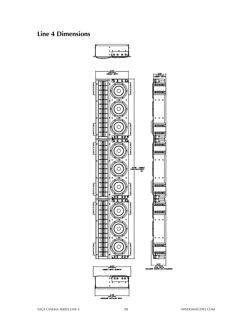### **Line 4 Dimensions**